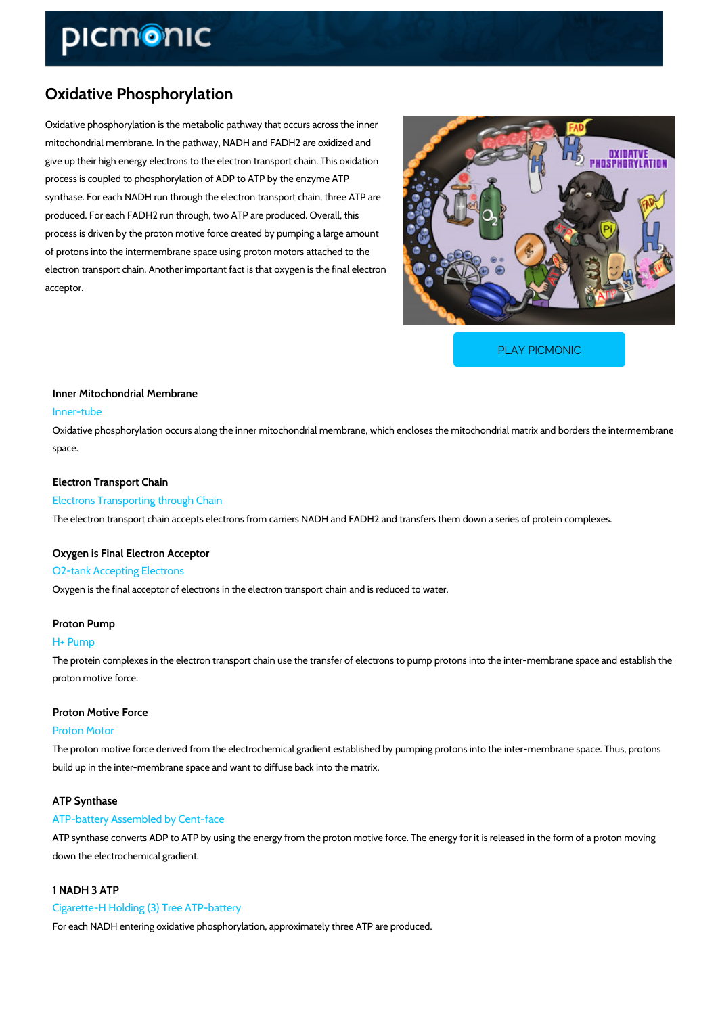## Oxidative Phosphorylation

Oxidative phosphorylation is the metabolic pathway that occurs across the inner mitochondrial membrane. In the pathway, NADH and FADH2 are oxidized and give up their high energy electrons to the electron transport chain. This oxidation process is coupled to phosphorylation of ADP to ATP by the enzyme ATP synthase. For each NADH run through the electron transport chain, three ATP are produced. For each FADH2 run through, two ATP are produced. Overall, this process is driven by the proton motive force created by pumping a large amount of protons into the intermembrane space using proton motors attached to the electron transport chain. Another important fact is that oxygen is the final electron acceptor.

[PLAY PICMONIC](https://www.picmonic.com/learn/oxidative-phosphorylation_759?utm_source=downloadable_content&utm_medium=distributedcontent&utm_campaign=pathways_pdf&utm_content=Oxidative Phosphorylation&utm_ad_group=leads&utm_market=all)

# Inner Mitochondrial Membrane Inner-tube

Oxidative phosphorylation occurs along the inner mitochondrial membrane, which encloses the space.

### Electron Transport Chain

Electrons Transporting through Chain The electron transport chain accepts electrons from carriers NADH and FADH2 and transfers t

## Oxygen is Final Electron Acceptor O2-tank Accepting Electrons

Oxygen is the final acceptor of electrons in the electron transport chain and is reduced to wa

## Proton Pump

#### H+ Pump

The protein complexes in the electron transport chain use the transfer of electrons to pump p proton motive force.

## Proton Motive Force

#### Proton Motor

The proton motive force derived from the electrochemical gradient established by pumping pro build up in the inter-membrane space and want to diffuse back into the matrix.

## ATP Synthase

#### ATP-battery Assembled by Cent-face

ATP synthase converts ADP to ATP by using the energy from the proton motive force. The ene down the electrochemical gradient.

## 1 NADH 3 ATP

### Cigarette-H Holding (3) Tree ATP-battery

For each NADH entering oxidative phosphorylation, approximately three ATP are produced.